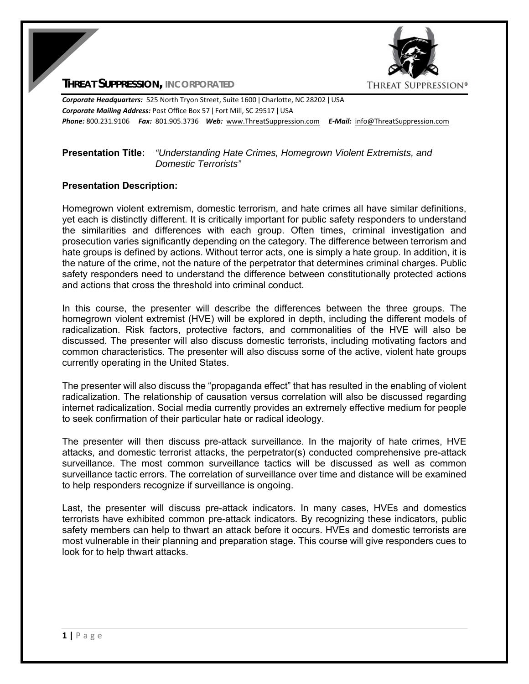

**THREAT SUPPRESSION, INCORPORATED**

*Corporate Headquarters:* 525 North Tryon Street, Suite 1600 ǀ Charlotte, NC 28202 ǀ USA *Corporate Mailing Address:* Post Office Box 57 ǀ Fort Mill, SC 29517 ǀ USA *Phone:* 800.231.9106  *Fax:* 801.905.3736 *Web:* www.ThreatSuppression.com *E‐Mail:*  info@ThreatSuppression.com

## **Presentation Title:** *"Understanding Hate Crimes, Homegrown Violent Extremists, and Domestic Terrorists"*

## **Presentation Description:**

Homegrown violent extremism, domestic terrorism, and hate crimes all have similar definitions, yet each is distinctly different. It is critically important for public safety responders to understand the similarities and differences with each group. Often times, criminal investigation and prosecution varies significantly depending on the category. The difference between terrorism and hate groups is defined by actions. Without terror acts, one is simply a hate group. In addition, it is the nature of the crime, not the nature of the perpetrator that determines criminal charges. Public safety responders need to understand the difference between constitutionally protected actions and actions that cross the threshold into criminal conduct.

In this course, the presenter will describe the differences between the three groups. The homegrown violent extremist (HVE) will be explored in depth, including the different models of radicalization. Risk factors, protective factors, and commonalities of the HVE will also be discussed. The presenter will also discuss domestic terrorists, including motivating factors and common characteristics. The presenter will also discuss some of the active, violent hate groups currently operating in the United States.

The presenter will also discuss the "propaganda effect" that has resulted in the enabling of violent radicalization. The relationship of causation versus correlation will also be discussed regarding internet radicalization. Social media currently provides an extremely effective medium for people to seek confirmation of their particular hate or radical ideology.

The presenter will then discuss pre-attack surveillance. In the majority of hate crimes, HVE attacks, and domestic terrorist attacks, the perpetrator(s) conducted comprehensive pre-attack surveillance. The most common surveillance tactics will be discussed as well as common surveillance tactic errors. The correlation of surveillance over time and distance will be examined to help responders recognize if surveillance is ongoing.

Last, the presenter will discuss pre-attack indicators. In many cases, HVEs and domestics terrorists have exhibited common pre-attack indicators. By recognizing these indicators, public safety members can help to thwart an attack before it occurs. HVEs and domestic terrorists are most vulnerable in their planning and preparation stage. This course will give responders cues to look for to help thwart attacks.